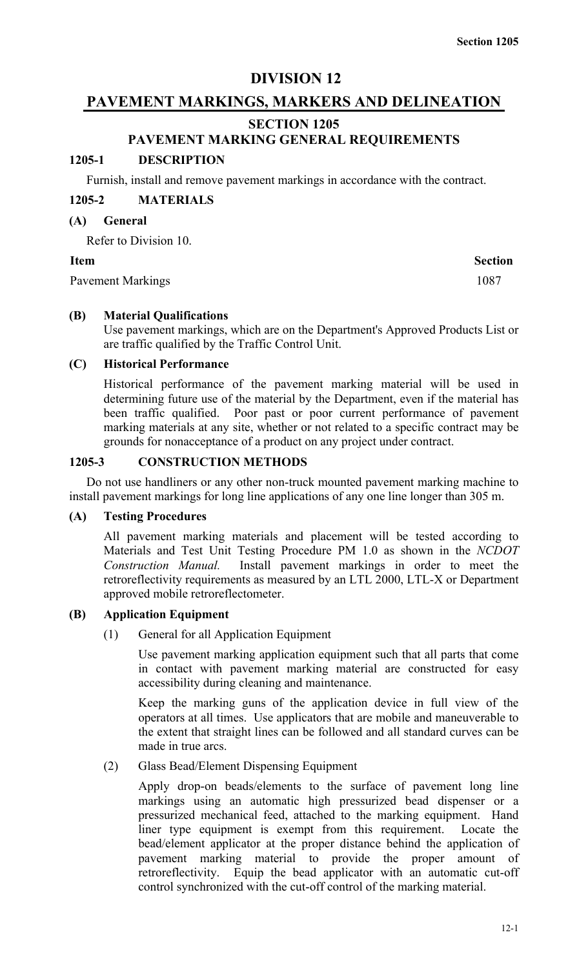# **DIVISION 12**

# **PAVEMENT MARKINGS, MARKERS AND DELINEATION**

# **SECTION 1205**

# **PAVEMENT MARKING GENERAL REQUIREMENTS**

# **1205-1 DESCRIPTION**

Furnish, install and remove pavement markings in accordance with the contract.

# **1205-2 MATERIALS**

## **(A) General**

Refer to Division 10.

Pavement Markings 1087

# **Item Section**

# **(B) Material Qualifications**

Use pavement markings, which are on the Department's Approved Products List or are traffic qualified by the Traffic Control Unit.

## **(C) Historical Performance**

Historical performance of the pavement marking material will be used in determining future use of the material by the Department, even if the material has been traffic qualified. Poor past or poor current performance of pavement marking materials at any site, whether or not related to a specific contract may be grounds for nonacceptance of a product on any project under contract.

# **1205-3 CONSTRUCTION METHODS**

Do not use handliners or any other non-truck mounted pavement marking machine to install pavement markings for long line applications of any one line longer than 305 m.

#### **(A) Testing Procedures**

All pavement marking materials and placement will be tested according to Materials and Test Unit Testing Procedure PM 1.0 as shown in the *NCDOT Construction Manual.* Install pavement markings in order to meet the retroreflectivity requirements as measured by an LTL 2000, LTL-X or Department approved mobile retroreflectometer.

# **(B) Application Equipment**

(1) General for all Application Equipment

Use pavement marking application equipment such that all parts that come in contact with pavement marking material are constructed for easy accessibility during cleaning and maintenance.

Keep the marking guns of the application device in full view of the operators at all times. Use applicators that are mobile and maneuverable to the extent that straight lines can be followed and all standard curves can be made in true arcs.

# (2) Glass Bead/Element Dispensing Equipment

Apply drop-on beads/elements to the surface of pavement long line markings using an automatic high pressurized bead dispenser or a pressurized mechanical feed, attached to the marking equipment. Hand liner type equipment is exempt from this requirement. Locate the bead/element applicator at the proper distance behind the application of pavement marking material to provide the proper amount of retroreflectivity. Equip the bead applicator with an automatic cut-off control synchronized with the cut-off control of the marking material.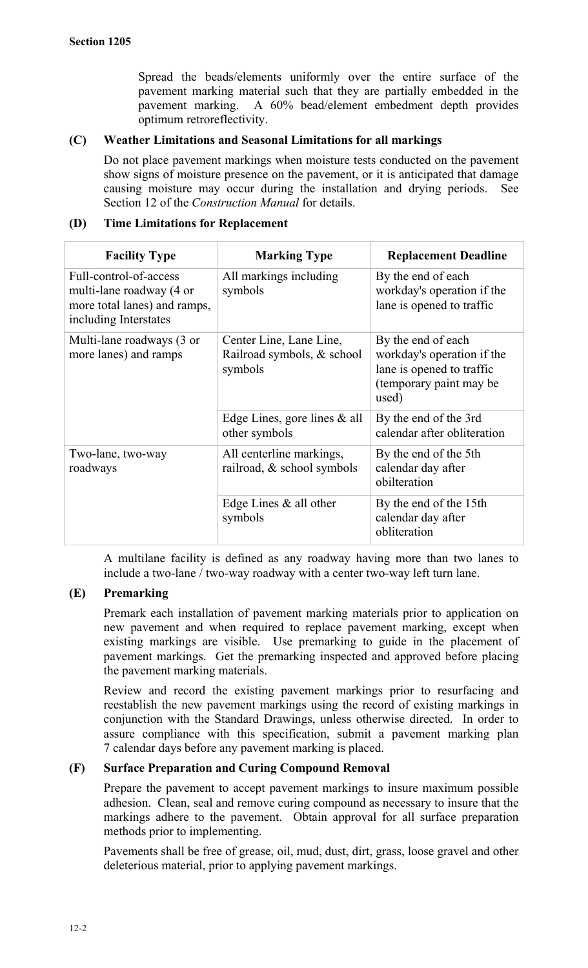Spread the beads/elements uniformly over the entire surface of the pavement marking material such that they are partially embedded in the pavement marking. A 60% bead/element embedment depth provides optimum retroreflectivity.

# **(C) Weather Limitations and Seasonal Limitations for all markings**

Do not place pavement markings when moisture tests conducted on the pavement show signs of moisture presence on the pavement, or it is anticipated that damage causing moisture may occur during the installation and drying periods. See Section 12 of the *Construction Manual* for details.

# **(D) Time Limitations for Replacement**

| <b>Facility Type</b>                                                                                        | <b>Marking Type</b>                                              | <b>Replacement Deadline</b>                                                                                       |
|-------------------------------------------------------------------------------------------------------------|------------------------------------------------------------------|-------------------------------------------------------------------------------------------------------------------|
| Full-control-of-access<br>multi-lane roadway (4 or<br>more total lanes) and ramps,<br>including Interstates | All markings including<br>symbols                                | By the end of each<br>workday's operation if the<br>lane is opened to traffic                                     |
| Multi-lane roadways (3 or<br>more lanes) and ramps                                                          | Center Line, Lane Line,<br>Railroad symbols, & school<br>symbols | By the end of each<br>workday's operation if the<br>lane is opened to traffic<br>(temporary paint may be<br>used) |
|                                                                                                             | Edge Lines, gore lines $\&$ all<br>other symbols                 | By the end of the 3rd<br>calendar after obliteration                                                              |
| Two-lane, two-way<br>roadways                                                                               | All centerline markings,<br>railroad, $&$ school symbols         | By the end of the 5th<br>calendar day after<br>obilteration                                                       |
|                                                                                                             | Edge Lines $\&$ all other<br>symbols                             | By the end of the 15th<br>calendar day after<br>obliteration                                                      |

A multilane facility is defined as any roadway having more than two lanes to include a two-lane / two-way roadway with a center two-way left turn lane.

# **(E) Premarking**

Premark each installation of pavement marking materials prior to application on new pavement and when required to replace pavement marking, except when existing markings are visible. Use premarking to guide in the placement of pavement markings. Get the premarking inspected and approved before placing the pavement marking materials.

Review and record the existing pavement markings prior to resurfacing and reestablish the new pavement markings using the record of existing markings in conjunction with the Standard Drawings, unless otherwise directed. In order to assure compliance with this specification, submit a pavement marking plan 7 calendar days before any pavement marking is placed.

# **(F) Surface Preparation and Curing Compound Removal**

Prepare the pavement to accept pavement markings to insure maximum possible adhesion. Clean, seal and remove curing compound as necessary to insure that the markings adhere to the pavement. Obtain approval for all surface preparation methods prior to implementing.

Pavements shall be free of grease, oil, mud, dust, dirt, grass, loose gravel and other deleterious material, prior to applying pavement markings.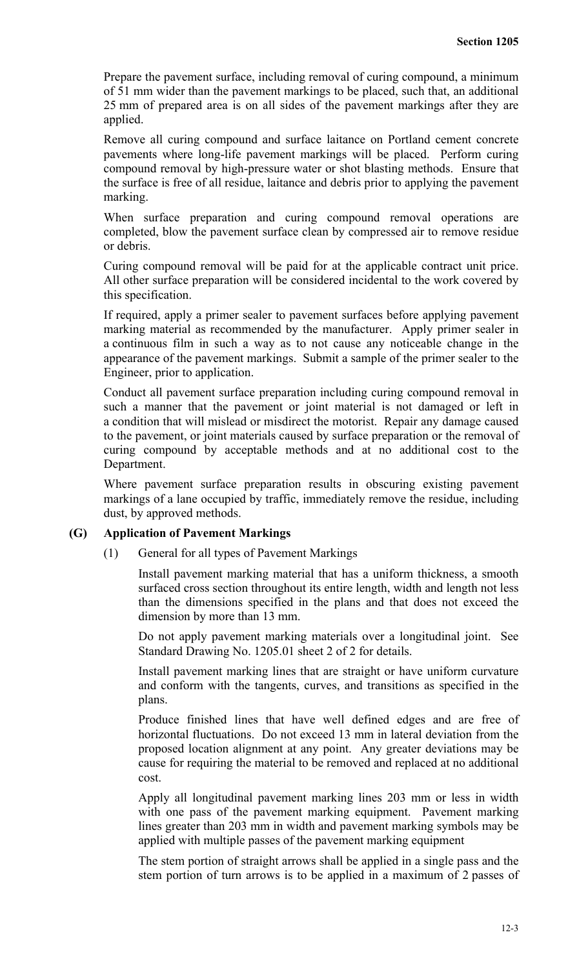Prepare the pavement surface, including removal of curing compound, a minimum of 51 mm wider than the pavement markings to be placed, such that, an additional 25 mm of prepared area is on all sides of the pavement markings after they are applied.

Remove all curing compound and surface laitance on Portland cement concrete pavements where long-life pavement markings will be placed. Perform curing compound removal by high-pressure water or shot blasting methods. Ensure that the surface is free of all residue, laitance and debris prior to applying the pavement marking.

When surface preparation and curing compound removal operations are completed, blow the pavement surface clean by compressed air to remove residue or debris.

Curing compound removal will be paid for at the applicable contract unit price. All other surface preparation will be considered incidental to the work covered by this specification.

If required, apply a primer sealer to pavement surfaces before applying pavement marking material as recommended by the manufacturer. Apply primer sealer in a continuous film in such a way as to not cause any noticeable change in the appearance of the pavement markings. Submit a sample of the primer sealer to the Engineer, prior to application.

Conduct all pavement surface preparation including curing compound removal in such a manner that the pavement or joint material is not damaged or left in a condition that will mislead or misdirect the motorist. Repair any damage caused to the pavement, or joint materials caused by surface preparation or the removal of curing compound by acceptable methods and at no additional cost to the Department.

Where pavement surface preparation results in obscuring existing pavement markings of a lane occupied by traffic, immediately remove the residue, including dust, by approved methods.

# **(G) Application of Pavement Markings**

(1) General for all types of Pavement Markings

Install pavement marking material that has a uniform thickness, a smooth surfaced cross section throughout its entire length, width and length not less than the dimensions specified in the plans and that does not exceed the dimension by more than 13 mm.

Do not apply pavement marking materials over a longitudinal joint. See Standard Drawing No. 1205.01 sheet 2 of 2 for details.

Install pavement marking lines that are straight or have uniform curvature and conform with the tangents, curves, and transitions as specified in the plans.

Produce finished lines that have well defined edges and are free of horizontal fluctuations. Do not exceed 13 mm in lateral deviation from the proposed location alignment at any point. Any greater deviations may be cause for requiring the material to be removed and replaced at no additional cost.

Apply all longitudinal pavement marking lines 203 mm or less in width with one pass of the pavement marking equipment. Pavement marking lines greater than 203 mm in width and pavement marking symbols may be applied with multiple passes of the pavement marking equipment

The stem portion of straight arrows shall be applied in a single pass and the stem portion of turn arrows is to be applied in a maximum of 2 passes of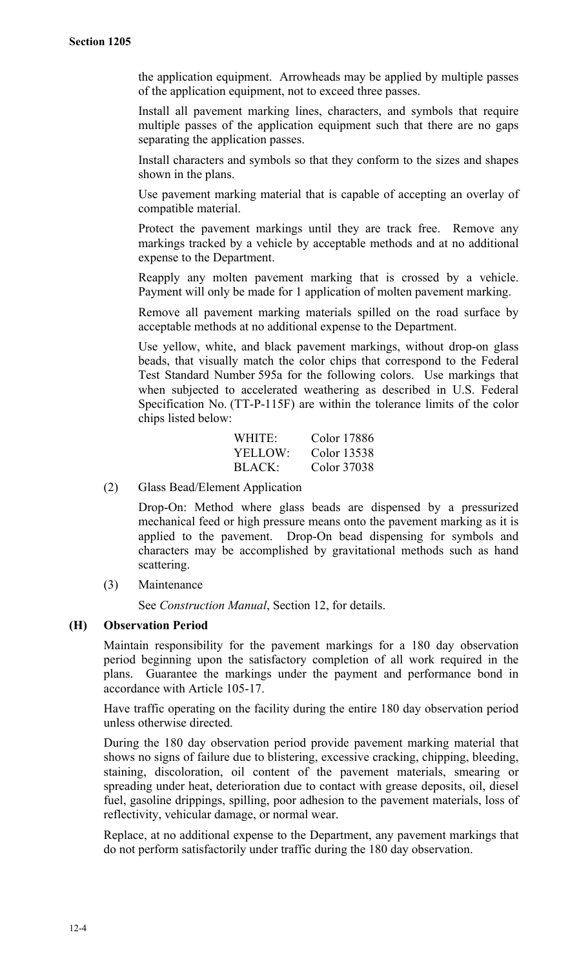the application equipment. Arrowheads may be applied by multiple passes of the application equipment, not to exceed three passes.

Install all pavement marking lines, characters, and symbols that require multiple passes of the application equipment such that there are no gaps separating the application passes.

Install characters and symbols so that they conform to the sizes and shapes shown in the plans.

Use pavement marking material that is capable of accepting an overlay of compatible material.

Protect the pavement markings until they are track free. Remove any markings tracked by a vehicle by acceptable methods and at no additional expense to the Department.

Reapply any molten pavement marking that is crossed by a vehicle. Payment will only be made for 1 application of molten pavement marking.

Remove all pavement marking materials spilled on the road surface by acceptable methods at no additional expense to the Department.

Use yellow, white, and black pavement markings, without drop-on glass beads, that visually match the color chips that correspond to the Federal Test Standard Number 595a for the following colors. Use markings that when subjected to accelerated weathering as described in U.S. Federal Specification No. (TT-P-115F) are within the tolerance limits of the color chips listed below:

| WHITE:        | Color 17886 |
|---------------|-------------|
| YELLOW:       | Color 13538 |
| <b>BLACK:</b> | Color 37038 |

(2) Glass Bead/Element Application

Drop-On: Method where glass beads are dispensed by a pressurized mechanical feed or high pressure means onto the pavement marking as it is applied to the pavement. Drop-On bead dispensing for symbols and characters may be accomplished by gravitational methods such as hand scattering.

(3) Maintenance

See *Construction Manual*, Section 12, for details.

# **(H) Observation Period**

Maintain responsibility for the pavement markings for a 180 day observation period beginning upon the satisfactory completion of all work required in the plans. Guarantee the markings under the payment and performance bond in accordance with Article 105-17.

Have traffic operating on the facility during the entire 180 day observation period unless otherwise directed.

During the 180 day observation period provide pavement marking material that shows no signs of failure due to blistering, excessive cracking, chipping, bleeding, staining, discoloration, oil content of the pavement materials, smearing or spreading under heat, deterioration due to contact with grease deposits, oil, diesel fuel, gasoline drippings, spilling, poor adhesion to the pavement materials, loss of reflectivity, vehicular damage, or normal wear.

Replace, at no additional expense to the Department, any pavement markings that do not perform satisfactorily under traffic during the 180 day observation.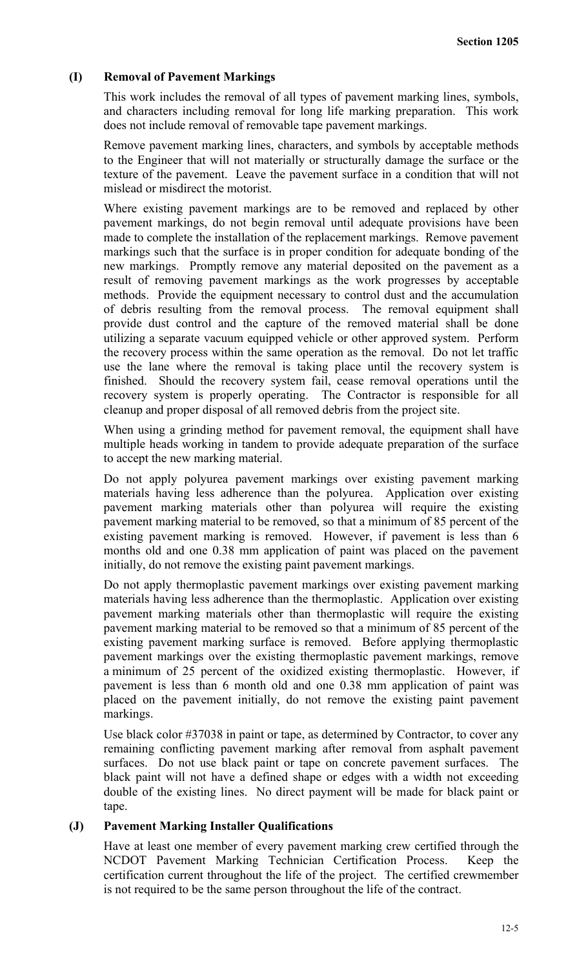# **(I) Removal of Pavement Markings**

This work includes the removal of all types of pavement marking lines, symbols, and characters including removal for long life marking preparation. This work does not include removal of removable tape pavement markings.

Remove pavement marking lines, characters, and symbols by acceptable methods to the Engineer that will not materially or structurally damage the surface or the texture of the pavement. Leave the pavement surface in a condition that will not mislead or misdirect the motorist.

Where existing pavement markings are to be removed and replaced by other pavement markings, do not begin removal until adequate provisions have been made to complete the installation of the replacement markings. Remove pavement markings such that the surface is in proper condition for adequate bonding of the new markings. Promptly remove any material deposited on the pavement as a result of removing pavement markings as the work progresses by acceptable methods. Provide the equipment necessary to control dust and the accumulation of debris resulting from the removal process. The removal equipment shall provide dust control and the capture of the removed material shall be done utilizing a separate vacuum equipped vehicle or other approved system. Perform the recovery process within the same operation as the removal. Do not let traffic use the lane where the removal is taking place until the recovery system is finished. Should the recovery system fail, cease removal operations until the recovery system is properly operating. The Contractor is responsible for all cleanup and proper disposal of all removed debris from the project site.

When using a grinding method for pavement removal, the equipment shall have multiple heads working in tandem to provide adequate preparation of the surface to accept the new marking material.

Do not apply polyurea pavement markings over existing pavement marking materials having less adherence than the polyurea. Application over existing pavement marking materials other than polyurea will require the existing pavement marking material to be removed, so that a minimum of 85 percent of the existing pavement marking is removed. However, if pavement is less than 6 months old and one 0.38 mm application of paint was placed on the pavement initially, do not remove the existing paint pavement markings.

Do not apply thermoplastic pavement markings over existing pavement marking materials having less adherence than the thermoplastic. Application over existing pavement marking materials other than thermoplastic will require the existing pavement marking material to be removed so that a minimum of 85 percent of the existing pavement marking surface is removed. Before applying thermoplastic pavement markings over the existing thermoplastic pavement markings, remove a minimum of 25 percent of the oxidized existing thermoplastic. However, if pavement is less than 6 month old and one 0.38 mm application of paint was placed on the pavement initially, do not remove the existing paint pavement markings.

Use black color #37038 in paint or tape, as determined by Contractor, to cover any remaining conflicting pavement marking after removal from asphalt pavement surfaces. Do not use black paint or tape on concrete pavement surfaces. The black paint will not have a defined shape or edges with a width not exceeding double of the existing lines. No direct payment will be made for black paint or tape.

# **(J) Pavement Marking Installer Qualifications**

Have at least one member of every pavement marking crew certified through the NCDOT Pavement Marking Technician Certification Process. Keep the certification current throughout the life of the project. The certified crewmember is not required to be the same person throughout the life of the contract.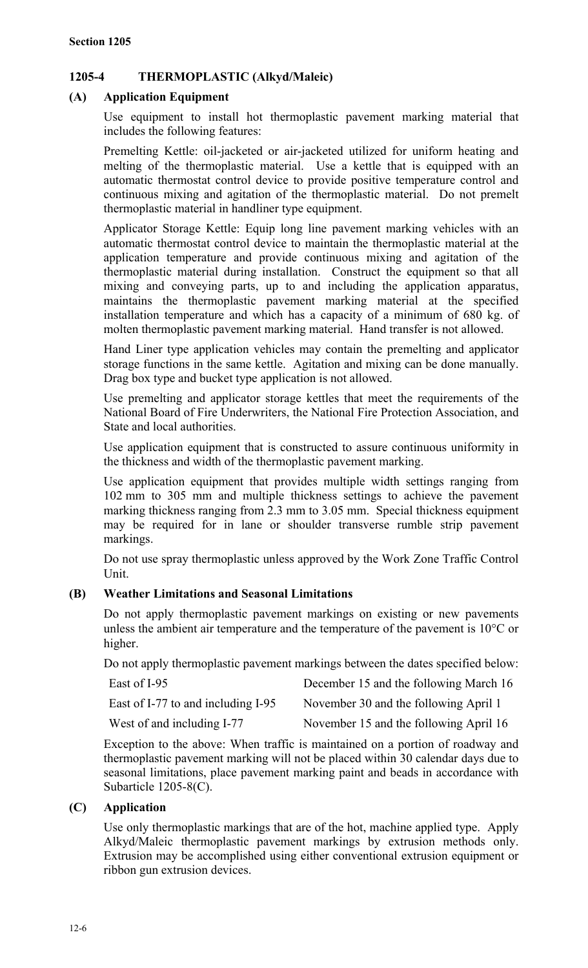# **1205-4 THERMOPLASTIC (Alkyd/Maleic)**

# **(A) Application Equipment**

Use equipment to install hot thermoplastic pavement marking material that includes the following features:

Premelting Kettle: oil-jacketed or air-jacketed utilized for uniform heating and melting of the thermoplastic material. Use a kettle that is equipped with an automatic thermostat control device to provide positive temperature control and continuous mixing and agitation of the thermoplastic material. Do not premelt thermoplastic material in handliner type equipment.

Applicator Storage Kettle: Equip long line pavement marking vehicles with an automatic thermostat control device to maintain the thermoplastic material at the application temperature and provide continuous mixing and agitation of the thermoplastic material during installation. Construct the equipment so that all mixing and conveying parts, up to and including the application apparatus, maintains the thermoplastic pavement marking material at the specified installation temperature and which has a capacity of a minimum of 680 kg. of molten thermoplastic pavement marking material. Hand transfer is not allowed.

Hand Liner type application vehicles may contain the premelting and applicator storage functions in the same kettle. Agitation and mixing can be done manually. Drag box type and bucket type application is not allowed.

Use premelting and applicator storage kettles that meet the requirements of the National Board of Fire Underwriters, the National Fire Protection Association, and State and local authorities.

Use application equipment that is constructed to assure continuous uniformity in the thickness and width of the thermoplastic pavement marking.

Use application equipment that provides multiple width settings ranging from 102 mm to 305 mm and multiple thickness settings to achieve the pavement marking thickness ranging from 2.3 mm to 3.05 mm. Special thickness equipment may be required for in lane or shoulder transverse rumble strip pavement markings.

Do not use spray thermoplastic unless approved by the Work Zone Traffic Control Unit.

# **(B) Weather Limitations and Seasonal Limitations**

Do not apply thermoplastic pavement markings on existing or new pavements unless the ambient air temperature and the temperature of the pavement is 10°C or higher.

Do not apply thermoplastic pavement markings between the dates specified below:

| East of I-95                       | December 15 and the following March 16 |
|------------------------------------|----------------------------------------|
| East of I-77 to and including I-95 | November 30 and the following April 1  |
| West of and including I-77         | November 15 and the following April 16 |

Exception to the above: When traffic is maintained on a portion of roadway and thermoplastic pavement marking will not be placed within 30 calendar days due to seasonal limitations, place pavement marking paint and beads in accordance with Subarticle 1205-8(C).

# **(C) Application**

Use only thermoplastic markings that are of the hot, machine applied type. Apply Alkyd/Maleic thermoplastic pavement markings by extrusion methods only. Extrusion may be accomplished using either conventional extrusion equipment or ribbon gun extrusion devices.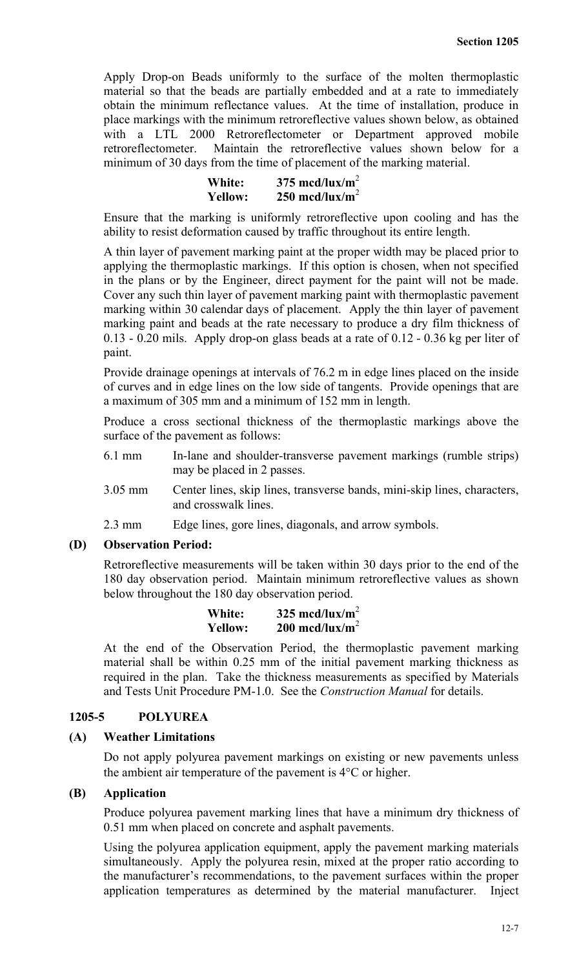Apply Drop-on Beads uniformly to the surface of the molten thermoplastic material so that the beads are partially embedded and at a rate to immediately obtain the minimum reflectance values. At the time of installation, produce in place markings with the minimum retroreflective values shown below, as obtained with a LTL 2000 Retroreflectometer or Department approved mobile retroreflectometer. Maintain the retroreflective values shown below for a minimum of 30 days from the time of placement of the marking material.

| White:         | 375 mcd/lux/m <sup>2</sup> |
|----------------|----------------------------|
| <b>Yellow:</b> | 250 mcd/lux/m <sup>2</sup> |

Ensure that the marking is uniformly retroreflective upon cooling and has the ability to resist deformation caused by traffic throughout its entire length.

A thin layer of pavement marking paint at the proper width may be placed prior to applying the thermoplastic markings. If this option is chosen, when not specified in the plans or by the Engineer, direct payment for the paint will not be made. Cover any such thin layer of pavement marking paint with thermoplastic pavement marking within 30 calendar days of placement. Apply the thin layer of pavement marking paint and beads at the rate necessary to produce a dry film thickness of 0.13 - 0.20 mils. Apply drop-on glass beads at a rate of 0.12 - 0.36 kg per liter of paint.

Provide drainage openings at intervals of 76.2 m in edge lines placed on the inside of curves and in edge lines on the low side of tangents. Provide openings that are a maximum of 305 mm and a minimum of 152 mm in length.

Produce a cross sectional thickness of the thermoplastic markings above the surface of the pavement as follows:

- 6.1 mm In-lane and shoulder-transverse pavement markings (rumble strips) may be placed in 2 passes.
- 3.05 mm Center lines, skip lines, transverse bands, mini-skip lines, characters, and crosswalk lines.
- 2.3 mm Edge lines, gore lines, diagonals, and arrow symbols.

#### **(D) Observation Period:**

Retroreflective measurements will be taken within 30 days prior to the end of the 180 day observation period. Maintain minimum retroreflective values as shown below throughout the 180 day observation period.

| White:         | 325 mcd/lux/m <sup>2</sup> |
|----------------|----------------------------|
| <b>Yellow:</b> | 200 mcd/lux/m <sup>2</sup> |

At the end of the Observation Period, the thermoplastic pavement marking material shall be within 0.25 mm of the initial pavement marking thickness as required in the plan. Take the thickness measurements as specified by Materials and Tests Unit Procedure PM-1.0. See the *Construction Manual* for details.

# **1205-5 POLYUREA**

## **(A) Weather Limitations**

Do not apply polyurea pavement markings on existing or new pavements unless the ambient air temperature of the pavement is 4°C or higher.

## **(B) Application**

Produce polyurea pavement marking lines that have a minimum dry thickness of 0.51 mm when placed on concrete and asphalt pavements.

Using the polyurea application equipment, apply the pavement marking materials simultaneously. Apply the polyurea resin, mixed at the proper ratio according to the manufacturer's recommendations, to the pavement surfaces within the proper application temperatures as determined by the material manufacturer. Inject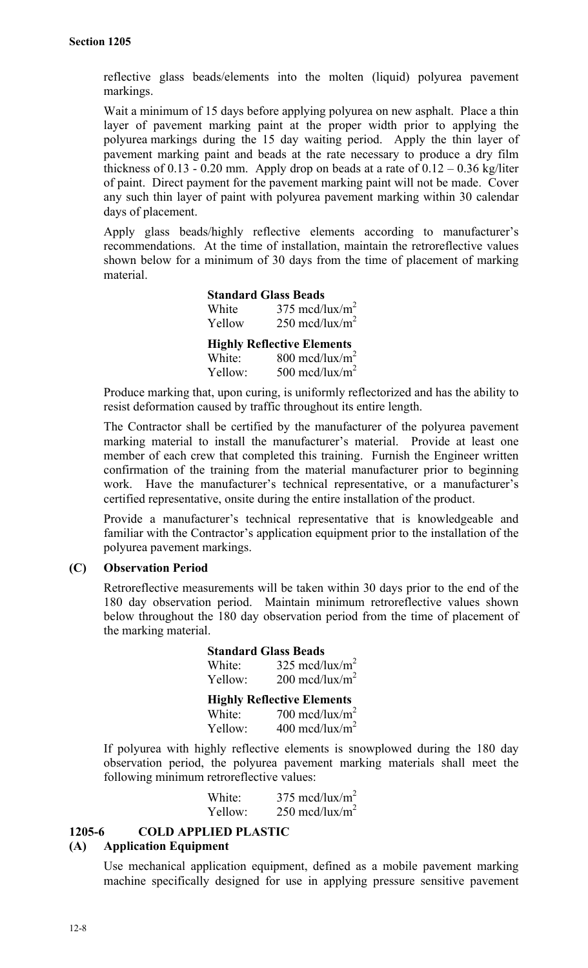reflective glass beads/elements into the molten (liquid) polyurea pavement markings.

Wait a minimum of 15 days before applying polyurea on new asphalt. Place a thin layer of pavement marking paint at the proper width prior to applying the polyurea markings during the 15 day waiting period. Apply the thin layer of pavement marking paint and beads at the rate necessary to produce a dry film thickness of 0.13 - 0.20 mm. Apply drop on beads at a rate of  $0.12 - 0.36$  kg/liter of paint. Direct payment for the pavement marking paint will not be made. Cover any such thin layer of paint with polyurea pavement marking within 30 calendar days of placement.

Apply glass beads/highly reflective elements according to manufacturer's recommendations. At the time of installation, maintain the retroreflective values shown below for a minimum of 30 days from the time of placement of marking material.

> **Standard Glass Beads** White  $375 \text{ med}/\text{lux}/\text{m}^2$ Yellow  $250 \text{ med}/\text{lux}/\text{m}^2$ **Highly Reflective Elements** White:  $800 \text{ med/lux/m}^2$ Yellow:  $500 \text{ med/lux/m}^2$

Produce marking that, upon curing, is uniformly reflectorized and has the ability to resist deformation caused by traffic throughout its entire length.

The Contractor shall be certified by the manufacturer of the polyurea pavement marking material to install the manufacturer's material. Provide at least one member of each crew that completed this training. Furnish the Engineer written confirmation of the training from the material manufacturer prior to beginning work. Have the manufacturer's technical representative, or a manufacturer's certified representative, onsite during the entire installation of the product.

Provide a manufacturer's technical representative that is knowledgeable and familiar with the Contractor's application equipment prior to the installation of the polyurea pavement markings.

# **(C) Observation Period**

Retroreflective measurements will be taken within 30 days prior to the end of the 180 day observation period. Maintain minimum retroreflective values shown below throughout the 180 day observation period from the time of placement of the marking material.

| <b>Standard Glass Beads</b> |                                                  |
|-----------------------------|--------------------------------------------------|
| White:                      | 325 mcd/lux/m <sup>2</sup>                       |
| Yellow:                     | 200 mcd/lux/m <sup>2</sup>                       |
|                             |                                                  |
|                             | <b>Highly Reflective Elements</b>                |
| White:                      | 700 mcd/lux/m <sup>2</sup><br>400 mcd/lux/ $m^2$ |

If polyurea with highly reflective elements is snowplowed during the 180 day observation period, the polyurea pavement marking materials shall meet the following minimum retroreflective values:

| White:  | $375 \text{ med}/\text{lux}/\text{m}^2$ |
|---------|-----------------------------------------|
| Yellow: | 250 mcd/lux/m <sup>2</sup>              |

# **1205-6 COLD APPLIED PLASTIC**

#### **(A) Application Equipment**

Use mechanical application equipment, defined as a mobile pavement marking machine specifically designed for use in applying pressure sensitive pavement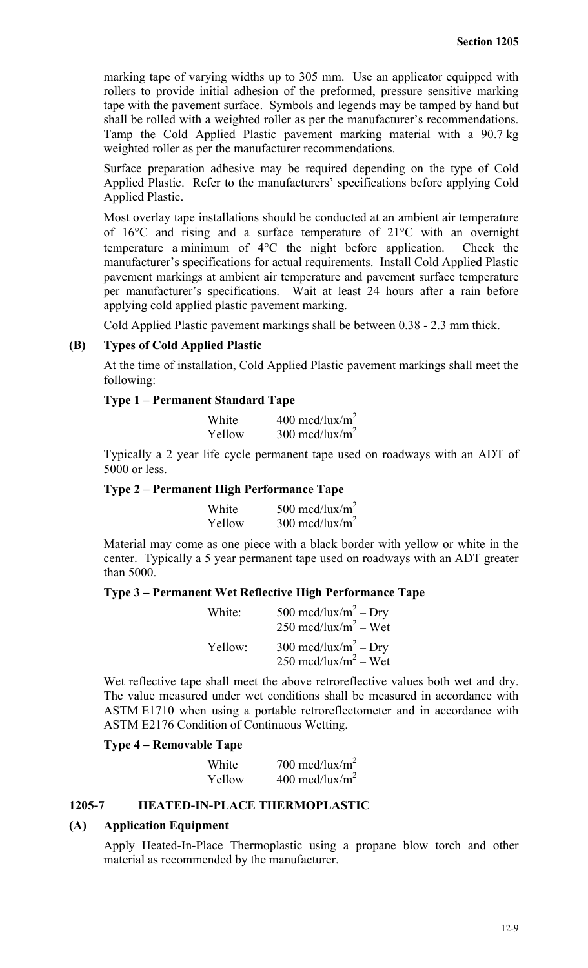marking tape of varying widths up to 305 mm. Use an applicator equipped with rollers to provide initial adhesion of the preformed, pressure sensitive marking tape with the pavement surface. Symbols and legends may be tamped by hand but shall be rolled with a weighted roller as per the manufacturer's recommendations. Tamp the Cold Applied Plastic pavement marking material with a 90.7 kg weighted roller as per the manufacturer recommendations.

Surface preparation adhesive may be required depending on the type of Cold Applied Plastic. Refer to the manufacturers' specifications before applying Cold Applied Plastic.

Most overlay tape installations should be conducted at an ambient air temperature of 16°C and rising and a surface temperature of 21°C with an overnight temperature a minimum of 4°C the night before application. Check the manufacturer's specifications for actual requirements. Install Cold Applied Plastic pavement markings at ambient air temperature and pavement surface temperature per manufacturer's specifications. Wait at least 24 hours after a rain before applying cold applied plastic pavement marking.

Cold Applied Plastic pavement markings shall be between 0.38 - 2.3 mm thick.

# **(B) Types of Cold Applied Plastic**

At the time of installation, Cold Applied Plastic pavement markings shall meet the following:

#### **Type 1 – Permanent Standard Tape**

| White  | 400 mcd/lux/m <sup>2</sup> |
|--------|----------------------------|
| Yellow | 300 mcd/lux/m <sup>2</sup> |

Typically a 2 year life cycle permanent tape used on roadways with an ADT of 5000 or less.

### **Type 2 – Permanent High Performance Tape**

| White  | 500 mcd/lux/m <sup>2</sup> |
|--------|----------------------------|
| Yellow | 300 mcd/lux/m <sup>2</sup> |

Material may come as one piece with a black border with yellow or white in the center. Typically a 5 year permanent tape used on roadways with an ADT greater than 5000.

## **Type 3 – Permanent Wet Reflective High Performance Tape**

| White:  | 500 mcd/lux/m <sup>2</sup> – Dry<br>$250 \text{ med/lux/m}^2 - \text{Wet}$ |
|---------|----------------------------------------------------------------------------|
| Yellow: | 300 mcd/lux/m <sup>2</sup> – Dry<br>250 mcd/lux/m <sup>2</sup> – Wet       |

Wet reflective tape shall meet the above retroreflective values both wet and dry. The value measured under wet conditions shall be measured in accordance with ASTM E1710 when using a portable retroreflectometer and in accordance with ASTM E2176 Condition of Continuous Wetting.

# **Type 4 – Removable Tape**

| White  | 700 mcd/lux/m <sup>2</sup> |
|--------|----------------------------|
| Yellow | 400 mcd/lux/m <sup>2</sup> |

# **1205-7 HEATED-IN-PLACE THERMOPLASTIC**

#### **(A) Application Equipment**

Apply Heated-In-Place Thermoplastic using a propane blow torch and other material as recommended by the manufacturer.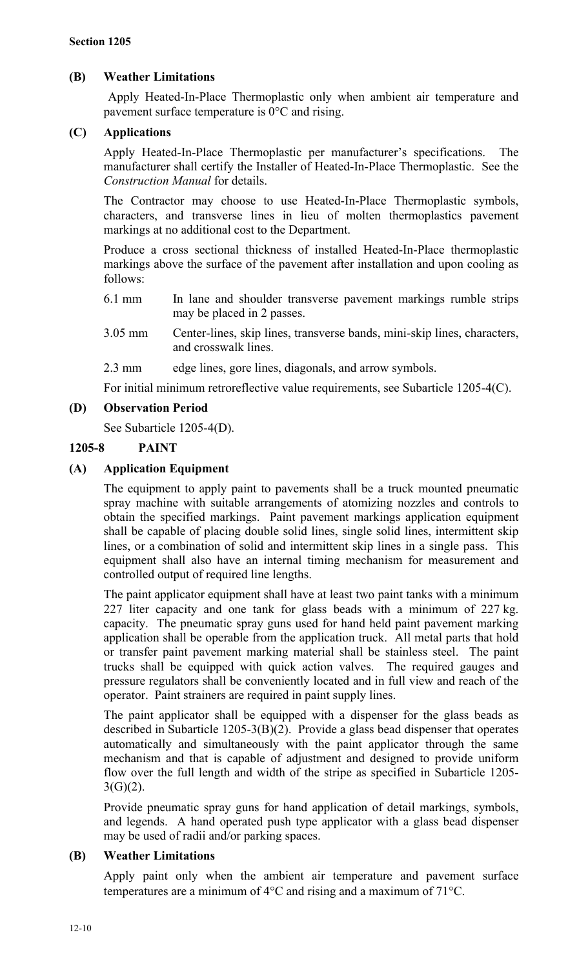# **(B) Weather Limitations**

Apply Heated-In-Place Thermoplastic only when ambient air temperature and pavement surface temperature is 0°C and rising.

# **(C) Applications**

Apply Heated-In-Place Thermoplastic per manufacturer's specifications. The manufacturer shall certify the Installer of Heated-In-Place Thermoplastic. See the *Construction Manual* for details.

The Contractor may choose to use Heated-In-Place Thermoplastic symbols, characters, and transverse lines in lieu of molten thermoplastics pavement markings at no additional cost to the Department.

Produce a cross sectional thickness of installed Heated-In-Place thermoplastic markings above the surface of the pavement after installation and upon cooling as follows:

- 6.1 mm In lane and shoulder transverse pavement markings rumble strips may be placed in 2 passes.
- 3.05 mm Center-lines, skip lines, transverse bands, mini-skip lines, characters, and crosswalk lines.

2.3 mm edge lines, gore lines, diagonals, and arrow symbols.

For initial minimum retroreflective value requirements, see Subarticle 1205-4(C).

# **(D) Observation Period**

See Subarticle 1205-4(D).

# **1205-8 PAINT**

# **(A) Application Equipment**

The equipment to apply paint to pavements shall be a truck mounted pneumatic spray machine with suitable arrangements of atomizing nozzles and controls to obtain the specified markings. Paint pavement markings application equipment shall be capable of placing double solid lines, single solid lines, intermittent skip lines, or a combination of solid and intermittent skip lines in a single pass. This equipment shall also have an internal timing mechanism for measurement and controlled output of required line lengths.

The paint applicator equipment shall have at least two paint tanks with a minimum 227 liter capacity and one tank for glass beads with a minimum of 227 kg. capacity. The pneumatic spray guns used for hand held paint pavement marking application shall be operable from the application truck. All metal parts that hold or transfer paint pavement marking material shall be stainless steel. The paint trucks shall be equipped with quick action valves. The required gauges and pressure regulators shall be conveniently located and in full view and reach of the operator. Paint strainers are required in paint supply lines.

The paint applicator shall be equipped with a dispenser for the glass beads as described in Subarticle 1205-3(B)(2). Provide a glass bead dispenser that operates automatically and simultaneously with the paint applicator through the same mechanism and that is capable of adjustment and designed to provide uniform flow over the full length and width of the stripe as specified in Subarticle 1205-  $3(G)(2)$ .

Provide pneumatic spray guns for hand application of detail markings, symbols, and legends. A hand operated push type applicator with a glass bead dispenser may be used of radii and/or parking spaces.

# **(B) Weather Limitations**

Apply paint only when the ambient air temperature and pavement surface temperatures are a minimum of 4°C and rising and a maximum of 71°C.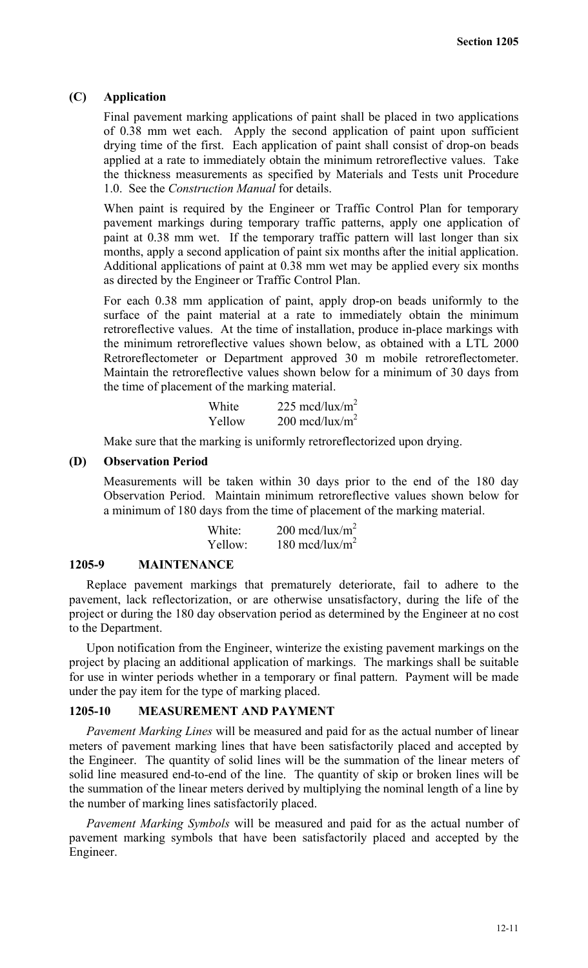# **(C) Application**

Final pavement marking applications of paint shall be placed in two applications of 0.38 mm wet each. Apply the second application of paint upon sufficient drying time of the first. Each application of paint shall consist of drop-on beads applied at a rate to immediately obtain the minimum retroreflective values. Take the thickness measurements as specified by Materials and Tests unit Procedure 1.0. See the *Construction Manual* for details.

When paint is required by the Engineer or Traffic Control Plan for temporary pavement markings during temporary traffic patterns, apply one application of paint at 0.38 mm wet. If the temporary traffic pattern will last longer than six months, apply a second application of paint six months after the initial application. Additional applications of paint at 0.38 mm wet may be applied every six months as directed by the Engineer or Traffic Control Plan.

For each 0.38 mm application of paint, apply drop-on beads uniformly to the surface of the paint material at a rate to immediately obtain the minimum retroreflective values. At the time of installation, produce in-place markings with the minimum retroreflective values shown below, as obtained with a LTL 2000 Retroreflectometer or Department approved 30 m mobile retroreflectometer. Maintain the retroreflective values shown below for a minimum of 30 days from the time of placement of the marking material.

| White  | 225 mcd/lux/m <sup>2</sup> |
|--------|----------------------------|
| Yellow | 200 mcd/lux/m <sup>2</sup> |

Make sure that the marking is uniformly retroreflectorized upon drying.

# **(D) Observation Period**

Measurements will be taken within 30 days prior to the end of the 180 day Observation Period. Maintain minimum retroreflective values shown below for a minimum of 180 days from the time of placement of the marking material.

| White:  | $200 \text{ med}/\text{lux}/\text{m}^2$ |
|---------|-----------------------------------------|
| Yellow: | 180 mcd/lux/m <sup>2</sup>              |

#### **1205-9 MAINTENANCE**

Replace pavement markings that prematurely deteriorate, fail to adhere to the pavement, lack reflectorization, or are otherwise unsatisfactory, during the life of the project or during the 180 day observation period as determined by the Engineer at no cost to the Department.

Upon notification from the Engineer, winterize the existing pavement markings on the project by placing an additional application of markings. The markings shall be suitable for use in winter periods whether in a temporary or final pattern. Payment will be made under the pay item for the type of marking placed.

#### **1205-10 MEASUREMENT AND PAYMENT**

*Pavement Marking Lines* will be measured and paid for as the actual number of linear meters of pavement marking lines that have been satisfactorily placed and accepted by the Engineer. The quantity of solid lines will be the summation of the linear meters of solid line measured end-to-end of the line. The quantity of skip or broken lines will be the summation of the linear meters derived by multiplying the nominal length of a line by the number of marking lines satisfactorily placed.

*Pavement Marking Symbols* will be measured and paid for as the actual number of pavement marking symbols that have been satisfactorily placed and accepted by the Engineer.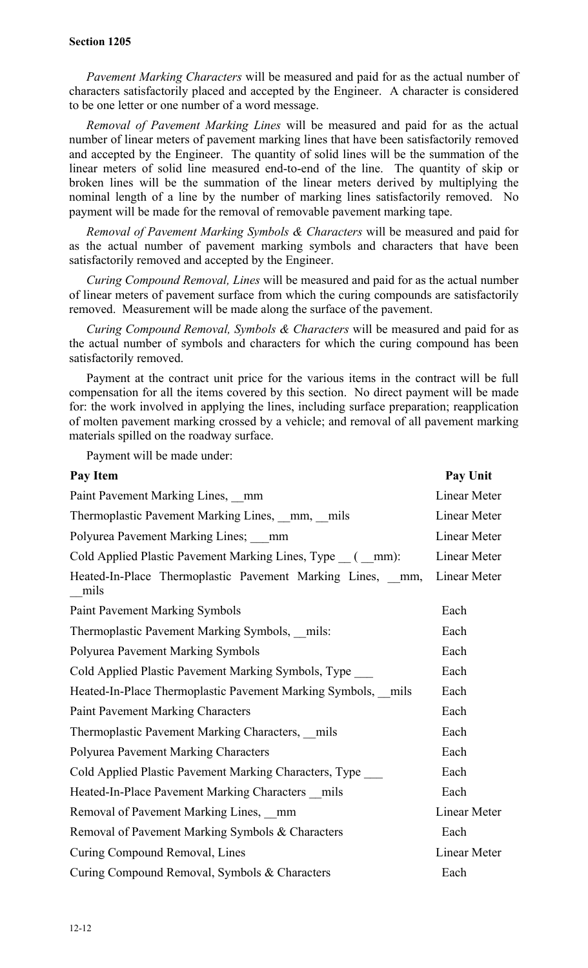*Pavement Marking Characters* will be measured and paid for as the actual number of characters satisfactorily placed and accepted by the Engineer. A character is considered to be one letter or one number of a word message.

*Removal of Pavement Marking Lines* will be measured and paid for as the actual number of linear meters of pavement marking lines that have been satisfactorily removed and accepted by the Engineer. The quantity of solid lines will be the summation of the linear meters of solid line measured end-to-end of the line. The quantity of skip or broken lines will be the summation of the linear meters derived by multiplying the nominal length of a line by the number of marking lines satisfactorily removed. No payment will be made for the removal of removable pavement marking tape.

*Removal of Pavement Marking Symbols & Characters* will be measured and paid for as the actual number of pavement marking symbols and characters that have been satisfactorily removed and accepted by the Engineer.

*Curing Compound Removal, Lines* will be measured and paid for as the actual number of linear meters of pavement surface from which the curing compounds are satisfactorily removed. Measurement will be made along the surface of the pavement.

*Curing Compound Removal, Symbols & Characters* will be measured and paid for as the actual number of symbols and characters for which the curing compound has been satisfactorily removed.

Payment at the contract unit price for the various items in the contract will be full compensation for all the items covered by this section. No direct payment will be made for: the work involved in applying the lines, including surface preparation; reapplication of molten pavement marking crossed by a vehicle; and removal of all pavement marking materials spilled on the roadway surface.

Payment will be made under:

| Pay Item                                                          | Pay Unit     |
|-------------------------------------------------------------------|--------------|
| Paint Pavement Marking Lines, mm                                  | Linear Meter |
| Thermoplastic Pavement Marking Lines, mm, mils                    | Linear Meter |
| Polyurea Pavement Marking Lines; mm                               | Linear Meter |
| Cold Applied Plastic Pavement Marking Lines, Type (mm):           | Linear Meter |
| Heated-In-Place Thermoplastic Pavement Marking Lines, mm,<br>mils | Linear Meter |
| <b>Paint Pavement Marking Symbols</b>                             | Each         |
| Thermoplastic Pavement Marking Symbols, mils:                     | Each         |
| <b>Polyurea Pavement Marking Symbols</b>                          | Each         |
| Cold Applied Plastic Pavement Marking Symbols, Type               | Each         |
| Heated-In-Place Thermoplastic Pavement Marking Symbols, mils      | Each         |
| <b>Paint Pavement Marking Characters</b>                          | Each         |
| Thermoplastic Pavement Marking Characters, mils                   | Each         |
| <b>Polyurea Pavement Marking Characters</b>                       | Each         |
| Cold Applied Plastic Pavement Marking Characters, Type            | Each         |
| Heated-In-Place Pavement Marking Characters mils                  | Each         |
| Removal of Pavement Marking Lines, mm                             | Linear Meter |
| Removal of Pavement Marking Symbols & Characters                  | Each         |
| Curing Compound Removal, Lines                                    | Linear Meter |
| Curing Compound Removal, Symbols & Characters                     | Each         |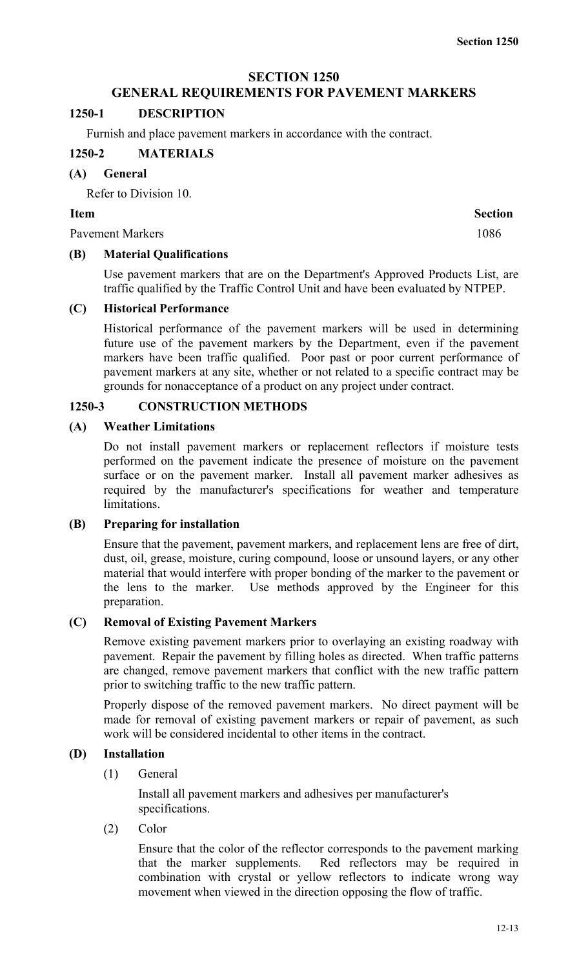## **SECTION 1250**

# **GENERAL REQUIREMENTS FOR PAVEMENT MARKERS**

### **1250-1 DESCRIPTION**

Furnish and place pavement markers in accordance with the contract.

## **1250-2 MATERIALS**

#### **(A) General**

Refer to Division 10.

### **Item Section**

Pavement Markers 1086

# **(B) Material Qualifications**

Use pavement markers that are on the Department's Approved Products List, are traffic qualified by the Traffic Control Unit and have been evaluated by NTPEP.

#### **(C) Historical Performance**

Historical performance of the pavement markers will be used in determining future use of the pavement markers by the Department, even if the pavement markers have been traffic qualified. Poor past or poor current performance of pavement markers at any site, whether or not related to a specific contract may be grounds for nonacceptance of a product on any project under contract.

# **1250-3 CONSTRUCTION METHODS**

## **(A) Weather Limitations**

Do not install pavement markers or replacement reflectors if moisture tests performed on the pavement indicate the presence of moisture on the pavement surface or on the pavement marker. Install all pavement marker adhesives as required by the manufacturer's specifications for weather and temperature limitations.

#### **(B) Preparing for installation**

Ensure that the pavement, pavement markers, and replacement lens are free of dirt, dust, oil, grease, moisture, curing compound, loose or unsound layers, or any other material that would interfere with proper bonding of the marker to the pavement or the lens to the marker. Use methods approved by the Engineer for this preparation.

## **(C) Removal of Existing Pavement Markers**

Remove existing pavement markers prior to overlaying an existing roadway with pavement. Repair the pavement by filling holes as directed. When traffic patterns are changed, remove pavement markers that conflict with the new traffic pattern prior to switching traffic to the new traffic pattern.

Properly dispose of the removed pavement markers. No direct payment will be made for removal of existing pavement markers or repair of pavement, as such work will be considered incidental to other items in the contract.

## **(D) Installation**

(1) General

Install all pavement markers and adhesives per manufacturer's specifications.

(2) Color

Ensure that the color of the reflector corresponds to the pavement marking that the marker supplements. Red reflectors may be required in combination with crystal or yellow reflectors to indicate wrong way movement when viewed in the direction opposing the flow of traffic.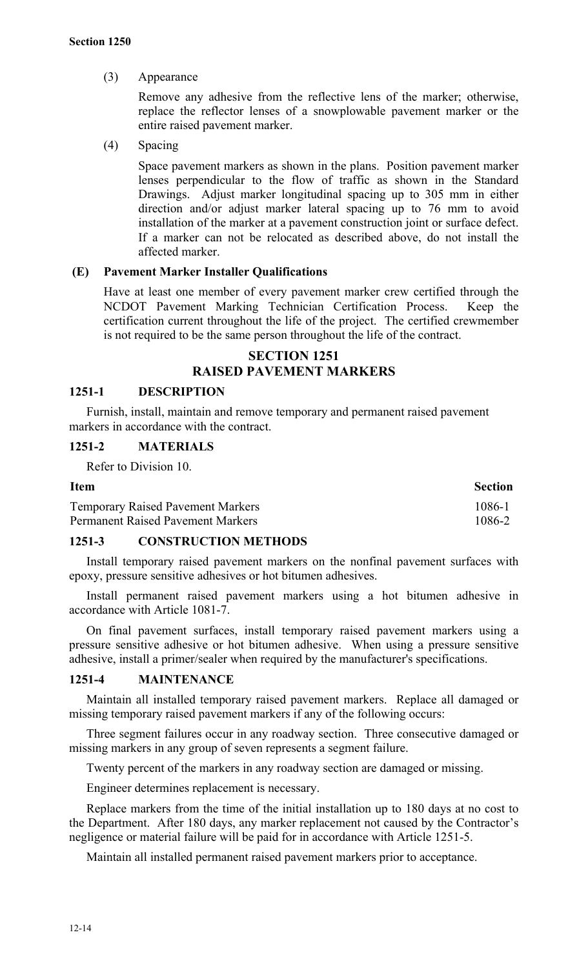# (3) Appearance

Remove any adhesive from the reflective lens of the marker; otherwise, replace the reflector lenses of a snowplowable pavement marker or the entire raised pavement marker.

(4) Spacing

Space pavement markers as shown in the plans. Position pavement marker lenses perpendicular to the flow of traffic as shown in the Standard Drawings. Adjust marker longitudinal spacing up to 305 mm in either direction and/or adjust marker lateral spacing up to 76 mm to avoid installation of the marker at a pavement construction joint or surface defect. If a marker can not be relocated as described above, do not install the affected marker.

# **(E) Pavement Marker Installer Qualifications**

Have at least one member of every pavement marker crew certified through the NCDOT Pavement Marking Technician Certification Process. Keep the certification current throughout the life of the project. The certified crewmember is not required to be the same person throughout the life of the contract.

# **SECTION 1251 RAISED PAVEMENT MARKERS**

#### **1251-1 DESCRIPTION**

Furnish, install, maintain and remove temporary and permanent raised pavement markers in accordance with the contract.

# **1251-2 MATERIALS**

Refer to Division 10.

| <b>Item</b>                              | <b>Section</b> |
|------------------------------------------|----------------|
| <b>Temporary Raised Pavement Markers</b> | 1086-1         |
| <b>Permanent Raised Pavement Markers</b> | 1086-2         |

#### **1251-3 CONSTRUCTION METHODS**

Install temporary raised pavement markers on the nonfinal pavement surfaces with epoxy, pressure sensitive adhesives or hot bitumen adhesives.

Install permanent raised pavement markers using a hot bitumen adhesive in accordance with Article 1081-7.

On final pavement surfaces, install temporary raised pavement markers using a pressure sensitive adhesive or hot bitumen adhesive. When using a pressure sensitive adhesive, install a primer/sealer when required by the manufacturer's specifications.

#### **1251-4 MAINTENANCE**

Maintain all installed temporary raised pavement markers. Replace all damaged or missing temporary raised pavement markers if any of the following occurs:

Three segment failures occur in any roadway section.Three consecutive damaged or missing markers in any group of seven represents a segment failure.

Twenty percent of the markers in any roadway section are damaged or missing.

Engineer determines replacement is necessary.

Replace markers from the time of the initial installation up to 180 days at no cost to the Department. After 180 days, any marker replacement not caused by the Contractor's negligence or material failure will be paid for in accordance with Article 1251-5.

Maintain all installed permanent raised pavement markers prior to acceptance.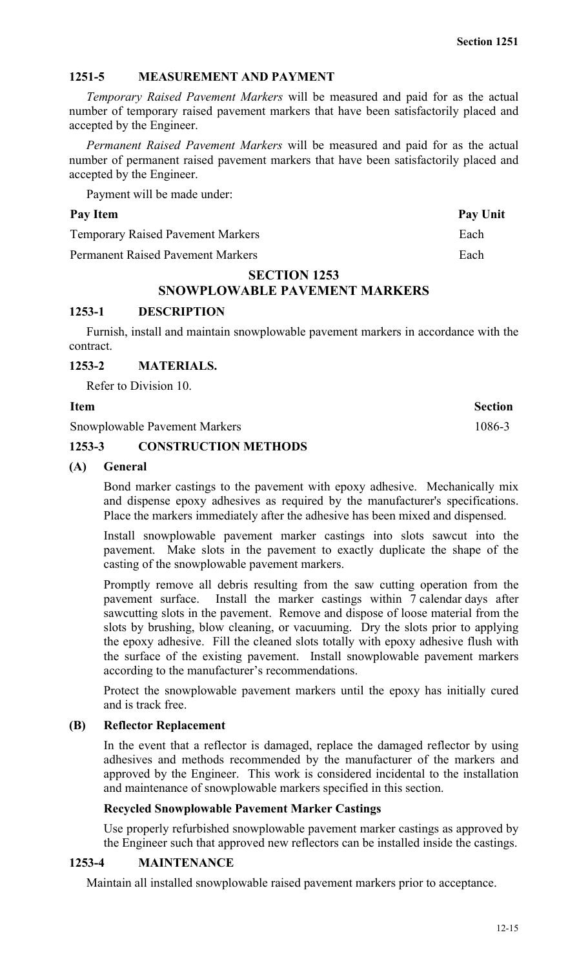# **1251-5 MEASUREMENT AND PAYMENT**

*Temporary Raised Pavement Markers* will be measured and paid for as the actual number of temporary raised pavement markers that have been satisfactorily placed and accepted by the Engineer.

*Permanent Raised Pavement Markers* will be measured and paid for as the actual number of permanent raised pavement markers that have been satisfactorily placed and accepted by the Engineer.

Payment will be made under:

# Pay Item Pay Unit

Temporary Raised Pavement Markers Each

Permanent Raised Pavement Markers Each

# **SECTION 1253**

# **SNOWPLOWABLE PAVEMENT MARKERS**

# **1253-1 DESCRIPTION**

Furnish, install and maintain snowplowable pavement markers in accordance with the contract.

## **1253-2 MATERIALS.**

Refer to Division 10.

Snowplowable Pavement Markers 1086-3

# **1253-3 CONSTRUCTION METHODS**

# **(A) General**

Bond marker castings to the pavement with epoxy adhesive. Mechanically mix and dispense epoxy adhesives as required by the manufacturer's specifications. Place the markers immediately after the adhesive has been mixed and dispensed.

Install snowplowable pavement marker castings into slots sawcut into the pavement. Make slots in the pavement to exactly duplicate the shape of the casting of the snowplowable pavement markers.

Promptly remove all debris resulting from the saw cutting operation from the pavement surface. Install the marker castings within 7 calendar days after sawcutting slots in the pavement. Remove and dispose of loose material from the slots by brushing, blow cleaning, or vacuuming. Dry the slots prior to applying the epoxy adhesive. Fill the cleaned slots totally with epoxy adhesive flush with the surface of the existing pavement. Install snowplowable pavement markers according to the manufacturer's recommendations.

Protect the snowplowable pavement markers until the epoxy has initially cured and is track free.

# **(B) Reflector Replacement**

In the event that a reflector is damaged, replace the damaged reflector by using adhesives and methods recommended by the manufacturer of the markers and approved by the Engineer. This work is considered incidental to the installation and maintenance of snowplowable markers specified in this section.

# **Recycled Snowplowable Pavement Marker Castings**

Use properly refurbished snowplowable pavement marker castings as approved by the Engineer such that approved new reflectors can be installed inside the castings.

# **1253-4 MAINTENANCE**

Maintain all installed snowplowable raised pavement markers prior to acceptance.

**Section 1251**

# **Item Section**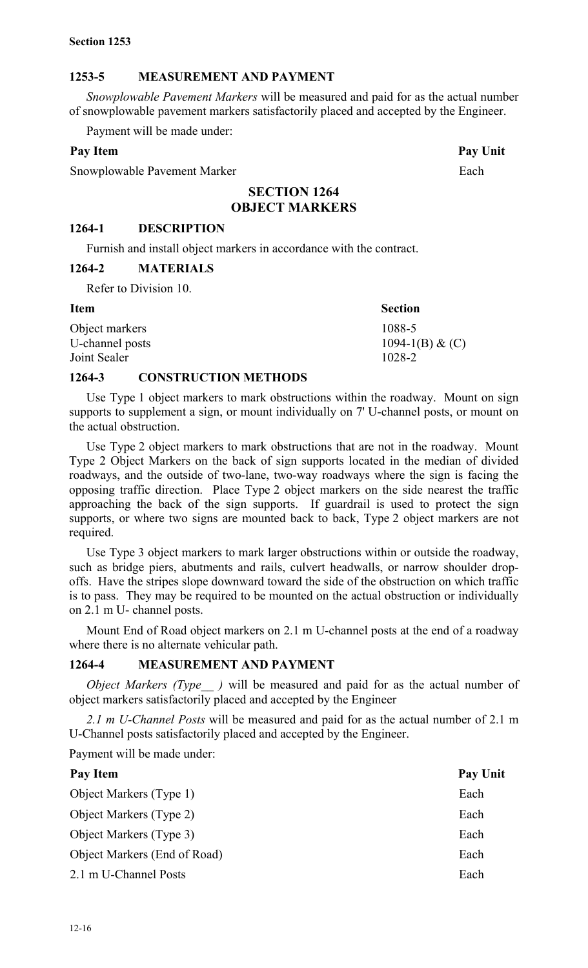# **1253-5 MEASUREMENT AND PAYMENT**

*Snowplowable Pavement Markers* will be measured and paid for as the actual number of snowplowable pavement markers satisfactorily placed and accepted by the Engineer.

Payment will be made under:

## Pay Item **Pay Unit**

Snowplowable Pavement Marker Each

# **SECTION 1264 OBJECT MARKERS**

## **1264-1 DESCRIPTION**

Furnish and install object markers in accordance with the contract.

## **1264-2 MATERIALS**

Refer to Division 10.

| <b>Item</b>     | <b>Section</b>    |
|-----------------|-------------------|
| Object markers  | 1088-5            |
| U-channel posts | 1094-1(B) & $(C)$ |
| Joint Sealer    | 1028-2            |

## **1264-3 CONSTRUCTION METHODS**

Use Type 1 object markers to mark obstructions within the roadway. Mount on sign supports to supplement a sign, or mount individually on 7' U-channel posts, or mount on the actual obstruction.

Use Type 2 object markers to mark obstructions that are not in the roadway. Mount Type 2 Object Markers on the back of sign supports located in the median of divided roadways, and the outside of two-lane, two-way roadways where the sign is facing the opposing traffic direction. Place Type 2 object markers on the side nearest the traffic approaching the back of the sign supports. If guardrail is used to protect the sign supports, or where two signs are mounted back to back, Type 2 object markers are not required.

Use Type 3 object markers to mark larger obstructions within or outside the roadway, such as bridge piers, abutments and rails, culvert headwalls, or narrow shoulder dropoffs. Have the stripes slope downward toward the side of the obstruction on which traffic is to pass. They may be required to be mounted on the actual obstruction or individually on 2.1 m U- channel posts.

Mount End of Road object markers on 2.1 m U-channel posts at the end of a roadway where there is no alternate vehicular path.

# **1264-4 MEASUREMENT AND PAYMENT**

*Object Markers (Type )* will be measured and paid for as the actual number of object markers satisfactorily placed and accepted by the Engineer

*2.1 m U-Channel Posts* will be measured and paid for as the actual number of 2.1 m U-Channel posts satisfactorily placed and accepted by the Engineer.

Payment will be made under:

| Pay Item                       | <b>Pay Unit</b> |
|--------------------------------|-----------------|
| Object Markers (Type 1)        | Each            |
| <b>Object Markers (Type 2)</b> | Each            |
| Object Markers (Type 3)        | Each            |
| Object Markers (End of Road)   | Each            |
| 2.1 m U-Channel Posts          | Each            |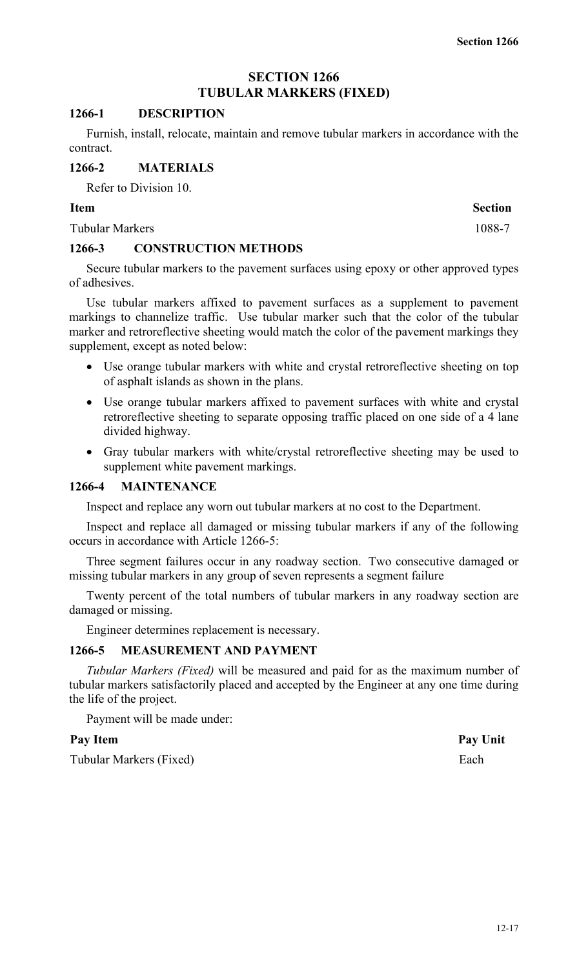# **SECTION 1266 TUBULAR MARKERS (FIXED)**

## **1266-1 DESCRIPTION**

Furnish, install, relocate, maintain and remove tubular markers in accordance with the contract.

## **1266-2 MATERIALS**

Refer to Division 10.

## **Item Section**

Tubular Markers 1088-7

## **1266-3 CONSTRUCTION METHODS**

Secure tubular markers to the pavement surfaces using epoxy or other approved types of adhesives.

Use tubular markers affixed to pavement surfaces as a supplement to pavement markings to channelize traffic. Use tubular marker such that the color of the tubular marker and retroreflective sheeting would match the color of the pavement markings they supplement, except as noted below:

- Use orange tubular markers with white and crystal retroreflective sheeting on top of asphalt islands as shown in the plans.
- Use orange tubular markers affixed to pavement surfaces with white and crystal retroreflective sheeting to separate opposing traffic placed on one side of a 4 lane divided highway.
- Gray tubular markers with white/crystal retroreflective sheeting may be used to supplement white pavement markings.

### **1266-4 MAINTENANCE**

Inspect and replace any worn out tubular markers at no cost to the Department.

Inspect and replace all damaged or missing tubular markers if any of the following occurs in accordance with Article 1266-5:

Three segment failures occur in any roadway section. Two consecutive damaged or missing tubular markers in any group of seven represents a segment failure

Twenty percent of the total numbers of tubular markers in any roadway section are damaged or missing.

Engineer determines replacement is necessary.

# **1266-5 MEASUREMENT AND PAYMENT**

*Tubular Markers (Fixed)* will be measured and paid for as the maximum number of tubular markers satisfactorily placed and accepted by the Engineer at any one time during the life of the project.

Payment will be made under:

Tubular Markers (Fixed) Each

Pay Item **Pay Unit**